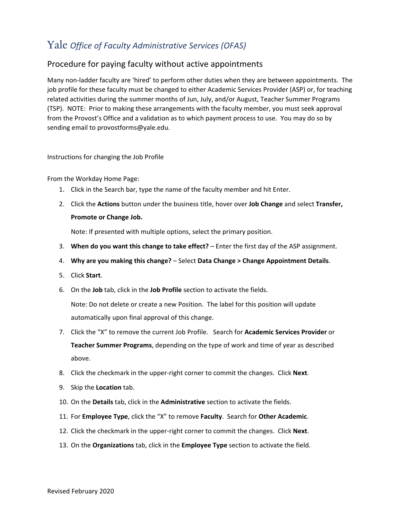## Yale *Office of Faculty Administrative Services (OFAS)*

## Procedure for paying faculty without active appointments

Many non-ladder faculty are 'hired' to perform other duties when they are between appointments. The job profile for these faculty must be changed to either Academic Services Provider (ASP) or, for teaching related activities during the summer months of Jun, July, and/or August, Teacher Summer Programs (TSP). NOTE: Prior to making these arrangements with the faculty member, you must seek approval from the Provost's Office and a validation as to which payment process to use. You may do so by sending email to provostforms@yale.edu.

Instructions for changing the Job Profile

From the Workday Home Page:

- 1. Click in the Search bar, type the name of the faculty member and hit Enter.
- 2. Click the **Actions** button under the business title, hover over **Job Change** and select **Transfer, Promote or Change Job.**

Note: If presented with multiple options, select the primary position.

- 3. **When do you want this change to take effect?** Enter the first day of the ASP assignment.
- 4. **Why are you making this change?** Select **Data Change > Change Appointment Details**.
- 5. Click **Start**.
- 6. On the **Job** tab, click in the **Job Profile** section to activate the fields.

Note: Do not delete or create a new Position. The label for this position will update automatically upon final approval of this change.

- 7. Click the "X" to remove the current Job Profile. Search for **Academic Services Provider** or **Teacher Summer Programs**, depending on the type of work and time of year as described above.
- 8. Click the checkmark in the upper-right corner to commit the changes. Click **Next**.
- 9. Skip the **Location** tab.
- 10. On the **Details** tab, click in the **Administrative** section to activate the fields.
- 11. For **Employee Type**, click the "X" to remove **Faculty**. Search for **Other Academic**.
- 12. Click the checkmark in the upper-right corner to commit the changes. Click **Next**.
- 13. On the **Organizations** tab, click in the **Employee Type** section to activate the field.